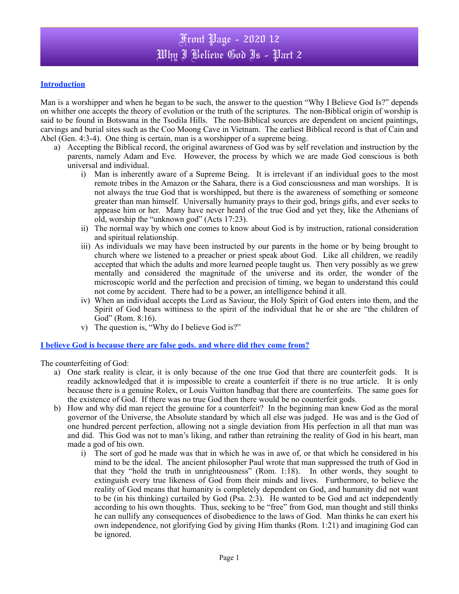### **Introduction**

Man is a worshipper and when he began to be such, the answer to the question "Why I Believe God Is?" depends on whither one accepts the theory of evolution or the truth of the scriptures. The non-Biblical origin of worship is said to be found in Botswana in the Tsodila Hills. The non-Biblical sources are dependent on ancient paintings, carvings and burial sites such as the Coo Moong Cave in Vietnam. The earliest Biblical record is that of Cain and Abel (Gen. 4:3-4). One thing is certain, man is a worshipper of a supreme being.

- a) Accepting the Biblical record, the original awareness of God was by self revelation and instruction by the parents, namely Adam and Eve. However, the process by which we are made God conscious is both universal and individual.
	- i) Man is inherently aware of a Supreme Being. It is irrelevant if an individual goes to the most remote tribes in the Amazon or the Sahara, there is a God consciousness and man worships. It is not always the true God that is worshipped, but there is the awareness of something or someone greater than man himself. Universally humanity prays to their god, brings gifts, and ever seeks to appease him or her. Many have never heard of the true God and yet they, like the Athenians of old, worship the "unknown god" (Acts 17:23).
	- ii) The normal way by which one comes to know about God is by instruction, rational consideration and spiritual relationship.
	- iii) As individuals we may have been instructed by our parents in the home or by being brought to church where we listened to a preacher or priest speak about God. Like all children, we readily accepted that which the adults and more learned people taught us. Then very possibly as we grew mentally and considered the magnitude of the universe and its order, the wonder of the microscopic world and the perfection and precision of timing, we began to understand this could not come by accident. There had to be a power, an intelligence behind it all.
	- iv) When an individual accepts the Lord as Saviour, the Holy Spirit of God enters into them, and the Spirit of God bears wittiness to the spirit of the individual that he or she are "the children of God" (Rom. 8:16).
	- v) The question is, "Why do I believe God is?"

#### **I believe God is because there are false gods. and where did they come from?**

The counterfeiting of God:

- a) One stark reality is clear, it is only because of the one true God that there are counterfeit gods. It is readily acknowledged that it is impossible to create a counterfeit if there is no true article. It is only because there is a genuine Rolex, or Louis Vuitton handbag that there are counterfeits. The same goes for the existence of God. If there was no true God then there would be no counterfeit gods.
- b) How and why did man reject the genuine for a counterfeit?In the beginning man knew God as the moral governor of the Universe, the Absolute standard by which all else was judged. He was and is the God of one hundred percent perfection, allowing not a single deviation from His perfection in all that man was and did. This God was not to man's liking, and rather than retraining the reality of God in his heart, man made a god of his own.
	- i) The sort of god he made was that in which he was in awe of, or that which he considered in his mind to be the ideal. The ancient philosopher Paul wrote that man suppressed the truth of God in that they "hold the truth in unrighteousness" (Rom. 1:18). In other words, they sought to extinguish every true likeness of God from their minds and lives. Furthermore, to believe the reality of God means that humanity is completely dependent on God, and humanity did not want to be (in his thinking) curtailed by God (Psa. 2:3). He wanted to be God and act independently according to his own thoughts. Thus, seeking to be "free" from God, man thought and still thinks he can nullify any consequences of disobedience to the laws of God. Man thinks he can exert his own independence, not glorifying God by giving Him thanks (Rom. 1:21) and imagining God can be ignored.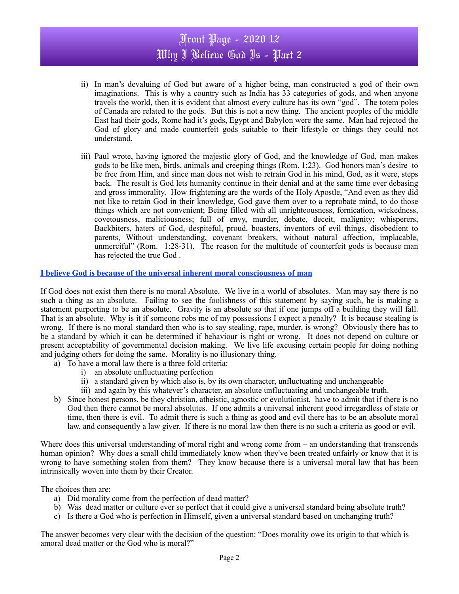# Front Page - 2020 12 Why I Believe God Is - Part 2

- ii) In man's devaluing of God but aware of a higher being, man constructed a god of their own imaginations. This is why a country such as India has 33 categories of gods, and when anyone travels the world, then it is evident that almost every culture has its own "god". The totem poles of Canada are related to the gods. But this is not a new thing. The ancient peoples of the middle East had their gods, Rome had it's gods, Egypt and Babylon were the same. Man had rejected the God of glory and made counterfeit gods suitable to their lifestyle or things they could not understand.
- iii) Paul wrote, having ignored the majestic glory of God, and the knowledge of God, man makes gods to be like men, birds, animals and creeping things (Rom. 1:23). God honors man's desire to be free from Him, and since man does not wish to retrain God in his mind, God, as it were, steps back. The result is God lets humanity continue in their denial and at the same time ever debasing and gross immorality. How frightening are the words of the Holy Apostle, "And even as they did not like to retain God in their knowledge, God gave them over to a reprobate mind, to do those things which are not convenient; Being filled with all unrighteousness, fornication, wickedness, covetousness, maliciousness; full of envy, murder, debate, deceit, malignity; whisperers, Backbiters, haters of God, despiteful, proud, boasters, inventors of evil things, disobedient to parents, Without understanding, covenant breakers, without natural affection, implacable, unmerciful" (Rom. 1:28-31). The reason for the multitude of counterfeit gods is because man has rejected the true God .

#### **I believe God is because of the universal inherent moral consciousness of man**

If God does not exist then there is no moral Absolute. We live in a world of absolutes. Man may say there is no such a thing as an absolute. Failing to see the foolishness of this statement by saying such, he is making a statement purporting to be an absolute. Gravity is an absolute so that if one jumps off a building they will fall. That is an absolute. Why is it if someone robs me of my possessions I expect a penalty? It is because stealing is wrong. If there is no moral standard then who is to say stealing, rape, murder, is wrong? Obviously there has to be a standard by which it can be determined if behaviour is right or wrong. It does not depend on culture or present acceptability of governmental decision making. We live life excusing certain people for doing nothing and judging others for doing the same. Morality is no illusionary thing.

- a) To have a moral law there is a three fold criteria:
	- i) an absolute unfluctuating perfection
	- ii) a standard given by which also is, by its own character, unfluctuating and unchangeable
	- iii) and again by this whatever's character, an absolute unfluctuating and unchangeable truth.
- b) Since honest persons, be they christian, atheistic, agnostic or evolutionist, have to admit that if there is no God then there cannot be moral absolutes. If one admits a universal inherent good irregardless of state or time, then there is evil. To admit there is such a thing as good and evil there has to be an absolute moral law, and consequently a law giver. If there is no moral law then there is no such a criteria as good or evil.

Where does this universal understanding of moral right and wrong come from – an understanding that transcends human opinion? Why does a small child immediately know when they've been treated unfairly or know that it is wrong to have something stolen from them? They know because there is a universal moral law that has been intrinsically woven into them by their Creator.

The choices then are:

- a) Did morality come from the perfection of dead matter?
- b) Wasdead matter or culture ever so perfect that it could give a universal standard being absolute truth?
- c) Is there a God who is perfection in Himself, given a universal standard based on unchanging truth?

The answer becomes very clear with the decision of the question: "Does morality owe its origin to that which is amoral dead matter or the God who is moral?"